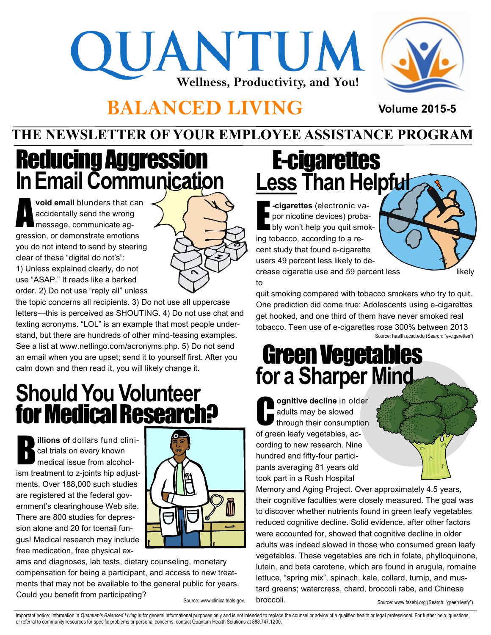# QUANTUM **Wellness, Productivity, and You!**



**Volume 2015-5**

#### **BALANCED LIVING**

#### **THE NEWSLETTER OF YOUR EMPLOYEE ASSISTANCE PROGRAM**



A **void email** blunders that can accidentally send the wrong message, communicate aggression, or demonstrate emotions you do not intend to send by steering clear of these "digital do not's":

1) Unless explained clearly, do not use "ASAP." It reads like a barked order. 2) Do not use "reply all" unless

the topic concerns all recipients. 3) Do not use all uppercase letters—this is perceived as SHOUTING. 4) Do not use chat and texting acronyms. "LOL" is an example that most people understand, but there are hundreds of other mind-teasing examples. See a list at www.netlingo.com/acronyms.php. 5) Do not send an email when you are upset; send it to yourself first. After you calm down and then read it, you will likely change it.

### **Should You Volunteer**  for Medical Research?

B **illions of** dollars fund clinical trials on every known medical issue from alcoholism treatment to z-joints hip adjustments. Over 188,000 such studies are registered at the federal government's clearinghouse Web site. There are 800 studies for depression alone and 20 for toenail fungus! Medical research may include free medication, free physical ex-



ams and diagnoses, lab tests, dietary counseling, monetary compensation for being a participant, and access to new treatments that may not be available to the general public for years. Could you benefit from participating?

Source: www.clinicaltrials.gov.

## E-cigarettes **Less Than Helpful**

E **-cigarettes** (electronic vapor nicotine devices) probably won't help you quit smoking tobacco, according to a recent study that found e-cigarette users 49 percent less likely to decrease cigarette use and 59 percent less likely to



quit smoking compared with tobacco smokers who try to quit. One prediction did come true: Adolescents using e-cigarettes get hooked, and one third of them have never smoked real tobacco. Teen use of e-cigarettes rose 300% between 2013 Source: health.ucsd.edu (Search: "e-cigarettes")

#### Green Vegetables **for a Sharper Mind**

**C ognitive decline** in older adults may be slowed through their consumption of green leafy vegetables, according to new research. Nine hundred and fifty-four participants averaging 81 years old took part in a Rush Hospital

Memory and Aging Project. Over approximately 4.5 years, their cognitive faculties were closely measured. The goal was to discover whether nutrients found in green leafy vegetables reduced cognitive decline. Solid evidence, after other factors were accounted for, showed that cognitive decline in older adults was indeed slowed in those who consumed green leafy vegetables. These vegetables are rich in folate, phylloquinone, lutein, and beta carotene, which are found in arugula, romaine lettuce, "spring mix", spinach, kale, collard, turnip, and mustard greens; watercress, chard, broccoli rabe, and Chinese broccoli.

Source: www.fasebj.org (Search: "green leafy")

Important notice: Information in Quantum's Balanced Living is for general informational purposes only and is not intended to replace the counsel or advice of a qualified health or legal professional. For further help, ques or referral to community resources for specific problems or personal concerns, contact Quantum Health Solutions at 888.747.1200.